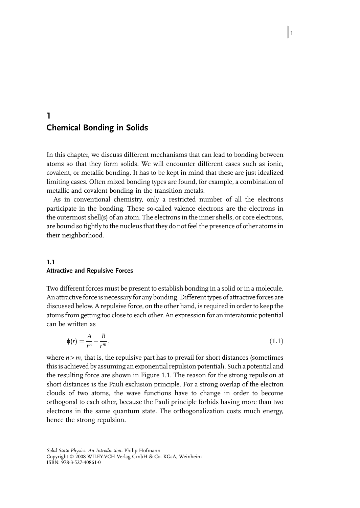# 1 Chemical Bonding in Solids

In this chapter, we discuss different mechanisms that can lead to bonding between atoms so that they form solids. We will encounter different cases such as ionic, covalent, or metallic bonding. It has to be kept in mind that these are just idealized limiting cases. Often mixed bonding types are found, for example, a combination of metallic and covalent bonding in the transition metals.

 $\vert$ 1

As in conventional chemistry, only a restricted number of all the electrons participate in the bonding. These so-called valence electrons are the electrons in the outermost shell(s) of an atom. The electrons in the inner shells, or core electrons, are bound so tightly to the nucleus that they do not feel the presence of other atoms in their neighborhood.

#### 1.1 Attractive and Repulsive Forces

Two different forces must be present to establish bonding in a solid or in a molecule. An attractive force is necessary for any bonding. Different types of attractive forces are discussed below. A repulsive force, on the other hand, is required in order to keep the atoms from getting too close to each other. An expression for an interatomic potential can be written as

$$
\phi(r) = \frac{A}{r^n} - \frac{B}{r^m},\tag{1.1}
$$

where  $n > m$ , that is, the repulsive part has to prevail for short distances (sometimes this is achieved by assuming an exponential repulsion potential). Such a potential and the resulting force are shown in Figure 1.1. The reason for the strong repulsion at short distances is the Pauli exclusion principle. For a strong overlap of the electron clouds of two atoms, the wave functions have to change in order to become orthogonal to each other, because the Pauli principle forbids having more than two electrons in the same quantum state. The orthogonalization costs much energy, hence the strong repulsion.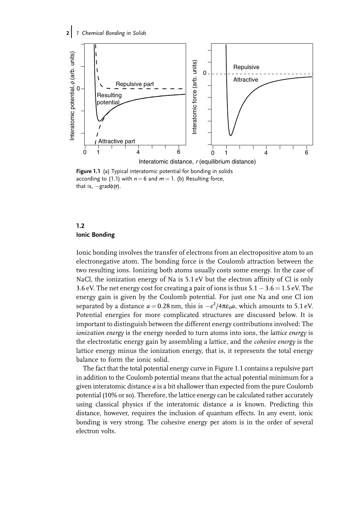2 1 Chemical Bonding in Solids



Figure 1.1 (a) Typical interatomic potential for bonding in solids according to (1.1) with  $n = 6$  and  $m = 1$ . (b) Resulting force, that is,  $-\text{grad}\phi(r)$ .

# 1.2 Ionic Bonding

Ionic bonding involves the transfer of electrons from an electropositive atom to an electronegative atom. The bonding force is the Coulomb attraction between the two resulting ions. Ionizing both atoms usually costs some energy. In the case of NaCl, the ionization energy of Na is 5.1 eV but the electron affinity of Cl is only 3.6 eV. The net energy cost for creating a pair of ions is thus  $5.1 - 3.6 = 1.5$  eV. The energy gain is given by the Coulomb potential. For just one Na and one Cl ion separated by a distance  $a = 0.28$  nm, this is  $-e^2/4\pi\varepsilon_0 a$ , which amounts to 5.1 eV. Potential energies for more complicated structures are discussed below. It is important to distinguish between the different energy contributions involved: The ionization energy is the energy needed to turn atoms into ions, the lattice energy is the electrostatic energy gain by assembling a lattice, and the cohesive energy is the lattice energy minus the ionization energy, that is, it represents the total energy balance to form the ionic solid.

The fact that the total potential energy curve in Figure 1.1 contains a repulsive part in addition to the Coulomb potential means that the actual potential minimum for a given interatomic distance a is a bit shallower than expected from the pure Coulomb potential (10% or so). Therefore, the lattice energy can be calculated rather accurately using classical physics if the interatomic distance  $a$  is known. Predicting this distance, however, requires the inclusion of quantum effects. In any event, ionic bonding is very strong. The cohesive energy per atom is in the order of several electron volts.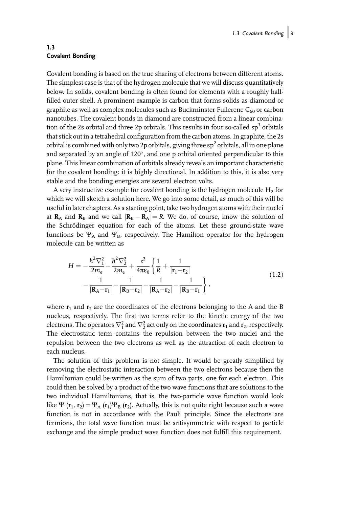### 1.3 Covalent Bonding

Covalent bonding is based on the true sharing of electrons between different atoms. The simplest case is that of the hydrogen molecule that we will discuss quantitatively below. In solids, covalent bonding is often found for elements with a roughly halffilled outer shell. A prominent example is carbon that forms solids as diamond or graphite as well as complex molecules such as Buckminster Fullerene  $C_{60}$  or carbon nanotubes. The covalent bonds in diamond are constructed from a linear combination of the 2s orbital and three 2p orbitals. This results in four so-called  $sp^3$  orbitals that stick out in a tetrahedral configuration from the carbon atoms. In graphite, the 2s orbital is combined with only two 2p orbitals, giving three  $sp^2$  orbitals, all in one plane and separated by an angle of 120 $^{\circ}$ , and one p orbital oriented perpendicular to this plane. This linear combination of orbitals already reveals an important characteristic for the covalent bonding: it is highly directional. In addition to this, it is also very stable and the bonding energies are several electron volts.

A very instructive example for covalent bonding is the hydrogen molecule  $H_2$  for which we will sketch a solution here. We go into some detail, as much of this will be useful in later chapters. As a starting point, take two hydrogen atoms with their nuclei at  $\mathbf{R}_A$  and  $\mathbf{R}_B$  and we call  $|\mathbf{R}_B - \mathbf{R}_A| = R$ . We do, of course, know the solution of the Schrödinger equation for each of the atoms. Let these ground-state wave functions be  $\Psi_A$  and  $\Psi_B$ , respectively. The Hamilton operator for the hydrogen molecule can be written as

$$
H = -\frac{\hbar^2 \nabla_1^2}{2m_e} - \frac{\hbar^2 \nabla_2^2}{2m_e} + \frac{e^2}{4\pi\varepsilon_0} \left\{ \frac{1}{R} + \frac{1}{|\mathbf{r}_1 - \mathbf{r}_2|} - \frac{1}{|\mathbf{R}_A - \mathbf{r}_1|} - \frac{1}{|\mathbf{R}_B - \mathbf{r}_2|} - \frac{1}{|\mathbf{R}_B - \mathbf{r}_2|} - \frac{1}{|\mathbf{R}_B - \mathbf{r}_1|} \right\},
$$
\n(1.2)

where  $r_1$  and  $r_2$  are the coordinates of the electrons belonging to the A and the B nucleus, respectively. The first two terms refer to the kinetic energy of the two electrons. The operators  $\nabla_1^2$  and  $\nabla_2^2$  act only on the coordinates  $\mathbf{r}_1$  and  $\mathbf{r}_2$ , respectively. The electrostatic term contains the repulsion between the two nuclei and the repulsion between the two electrons as well as the attraction of each electron to each nucleus.

The solution of this problem is not simple. It would be greatly simplified by removing the electrostatic interaction between the two electrons because then the Hamiltonian could be written as the sum of two parts, one for each electron. This could then be solved by a product of the two wave functions that are solutions to the two individual Hamiltonians, that is, the two-particle wave function would look like  $\Psi$  ( $\mathbf{r}_1$ ,  $\mathbf{r}_2$ ) =  $\Psi_A$  ( $\mathbf{r}_1$ ) $\Psi_B$  ( $\mathbf{r}_2$ ). Actually, this is not quite right because such a wave function is not in accordance with the Pauli principle. Since the electrons are fermions, the total wave function must be antisymmetric with respect to particle exchange and the simple product wave function does not fulfill this requirement.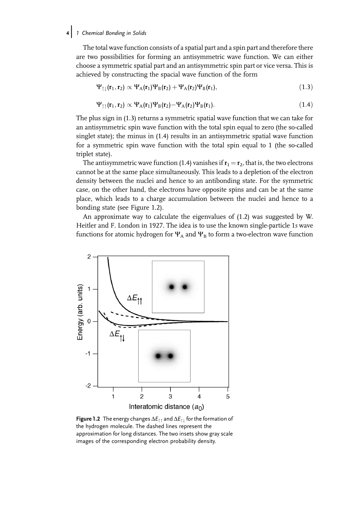#### 1 Chemical Bonding in Solids

The total wave function consists of a spatial part and a spin part and therefore there are two possibilities for forming an antisymmetric wave function. We can either choose a symmetric spatial part and an antisymmetric spin part or vice versa. This is achieved by constructing the spacial wave function of the form

$$
\Psi_{\uparrow\downarrow}(\mathbf{r}_1,\mathbf{r}_2) \propto \Psi_A(\mathbf{r}_1)\Psi_B(\mathbf{r}_2) + \Psi_A(\mathbf{r}_2)\Psi_B(\mathbf{r}_1),\tag{1.3}
$$

$$
\Psi_{\uparrow\uparrow}(\mathbf{r}_1,\mathbf{r}_2) \propto \Psi_A(\mathbf{r}_1)\Psi_B(\mathbf{r}_2) - \Psi_A(\mathbf{r}_2)\Psi_B(\mathbf{r}_1). \tag{1.4}
$$

The plus sign in (1.3) returns a symmetric spatial wave function that we can take for an antisymmetric spin wave function with the total spin equal to zero (the so-called singlet state); the minus in (1.4) results in an antisymmetric spatial wave function for a symmetric spin wave function with the total spin equal to 1 (the so-called triplet state).

The antisymmetric wave function (1.4) vanishes if  $\mathbf{r}_1 = \mathbf{r}_2$ , that is, the two electrons cannot be at the same place simultaneously. This leads to a depletion of the electron density between the nuclei and hence to an antibonding state. For the symmetric case, on the other hand, the electrons have opposite spins and can be at the same place, which leads to a charge accumulation between the nuclei and hence to a bonding state (see Figure 1.2).

An approximate way to calculate the eigenvalues of (1.2) was suggested by W. Heitler and F. London in 1927. The idea is to use the known single-particle 1s wave functions for atomic hydrogen for  $\Psi_A$  and  $\Psi_B$  to form a two-electron wave function



**Figure 1.2** The energy changes  $\Delta E_{\uparrow\uparrow}$  and  $\Delta E_{\uparrow\downarrow}$  for the formation of the hydrogen molecule. The dashed lines represent the approximation for long distances. The two insets show gray scale images of the corresponding electron probability density.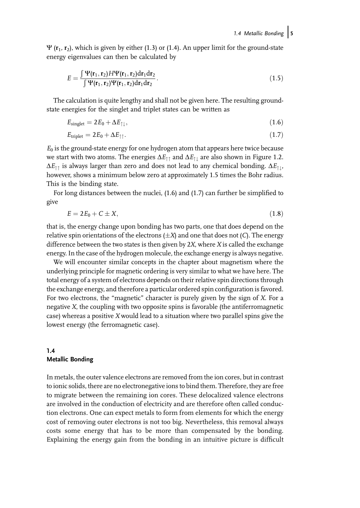$\Psi$  ( $\mathbf{r}_1$ ,  $\mathbf{r}_2$ ), which is given by either (1.3) or (1.4). An upper limit for the ground-state energy eigenvalues can then be calculated by

$$
E = \frac{\int \Psi(\mathbf{r}_1, \mathbf{r}_2) H \Psi(\mathbf{r}_1, \mathbf{r}_2) d\mathbf{r}_1 d\mathbf{r}_2}{\int \Psi(\mathbf{r}_1, \mathbf{r}_2) \Psi(\mathbf{r}_1, \mathbf{r}_2) d\mathbf{r}_1 d\mathbf{r}_2}.
$$
\n(1.5)

The calculation is quite lengthy and shall not be given here. The resulting groundstate energies for the singlet and triplet states can be written as

$$
E_{\text{singlet}} = 2E_0 + \Delta E_{\uparrow\downarrow},\tag{1.6}
$$

$$
E_{\text{triplet}} = 2E_0 + \Delta E_{\uparrow\uparrow}.\tag{1.7}
$$

 $E_0$  is the ground-state energy for one hydrogen atom that appears here twice because we start with two atoms. The energies  $\Delta E_{\uparrow\uparrow}$  and  $\Delta E_{\uparrow\downarrow}$  are also shown in Figure 1.2.  $\Delta E_{\uparrow\uparrow}$  is always larger than zero and does not lead to any chemical bonding.  $\Delta E_{\uparrow\downarrow}$ , however, shows a minimum below zero at approximately 1.5 times the Bohr radius. This is the binding state.

For long distances between the nuclei, (1.6) and (1.7) can further be simplified to give

$$
E = 2E_0 + C \pm X,\tag{1.8}
$$

that is, the energy change upon bonding has two parts, one that does depend on the relative spin orientations of the electrons  $(\pm X)$  and one that does not (C). The energy difference between the two states is then given by  $2X$ , where  $X$  is called the exchange energy. In the case of the hydrogen molecule, the exchange energy is always negative.

We will encounter similar concepts in the chapter about magnetism where the underlying principle for magnetic ordering is very similar to what we have here. The total energy of a system of electrons depends on their relative spin directions through the exchange energy, and therefore a particular ordered spin configuration is favored. For two electrons, the "magnetic" character is purely given by the sign of X. For a negative X, the coupling with two opposite spins is favorable (the antiferromagnetic case) whereas a positive X would lead to a situation where two parallel spins give the lowest energy (the ferromagnetic case).

# 1.4 Metallic Bonding

In metals, the outer valence electrons are removed from the ion cores, but in contrast to ionic solids, there are no electronegative ions to bind them. Therefore, they are free to migrate between the remaining ion cores. These delocalized valence electrons are involved in the conduction of electricity and are therefore often called conduction electrons. One can expect metals to form from elements for which the energy cost of removing outer electrons is not too big. Nevertheless, this removal always costs some energy that has to be more than compensated by the bonding. Explaining the energy gain from the bonding in an intuitive picture is difficult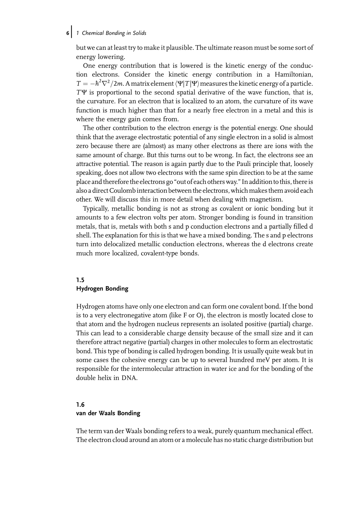# 6 1 Chemical Bonding in Solids

but we can at least try to make it plausible. The ultimate reason must be some sort of energy lowering.

One energy contribution that is lowered is the kinetic energy of the conduction electrons. Consider the kinetic energy contribution in a Hamiltonian,  $T = -\hbar^2 \nabla^2/2m$ . A matrix element  $\langle \Psi | T | \Psi \rangle$  measures the kinetic energy of a particle.  $T\Psi$  is proportional to the second spatial derivative of the wave function, that is, the curvature. For an electron that is localized to an atom, the curvature of its wave function is much higher than that for a nearly free electron in a metal and this is where the energy gain comes from.

The other contribution to the electron energy is the potential energy. One should think that the average electrostatic potential of any single electron in a solid is almost zero because there are (almost) as many other electrons as there are ions with the same amount of charge. But this turns out to be wrong. In fact, the electrons see an attractive potential. The reason is again partly due to the Pauli principle that, loosely speaking, does not allow two electrons with the same spin direction to be at the same place and therefore the electrons go "out of each others way." In addition to this, there is also a direct Coulomb interaction between the electrons, which makes them avoid each other. We will discuss this in more detail when dealing with magnetism.

Typically, metallic bonding is not as strong as covalent or ionic bonding but it amounts to a few electron volts per atom. Stronger bonding is found in transition metals, that is, metals with both s and p conduction electrons and a partially filled d shell. The explanation for this is that we have a mixed bonding. The s and p electrons turn into delocalized metallic conduction electrons, whereas the d electrons create much more localized, covalent-type bonds.

### 1.5 Hydrogen Bonding

Hydrogen atoms have only one electron and can form one covalent bond. If the bond is to a very electronegative atom (like F or O), the electron is mostly located close to that atom and the hydrogen nucleus represents an isolated positive (partial) charge. This can lead to a considerable charge density because of the small size and it can therefore attract negative (partial) charges in other molecules to form an electrostatic bond. This type of bonding is called hydrogen bonding. It is usually quite weak but in some cases the cohesive energy can be up to several hundred meV per atom. It is responsible for the intermolecular attraction in water ice and for the bonding of the double helix in DNA.

#### 1.6

#### van der Waals Bonding

The term van der Waals bonding refers to a weak, purely quantum mechanical effect. The electron cloud around an atom or a molecule has no static charge distribution but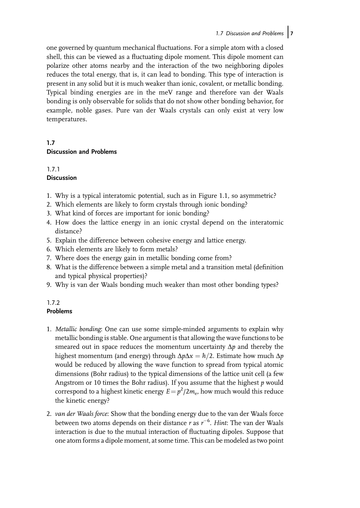one governed by quantum mechanical fluctuations. For a simple atom with a closed shell, this can be viewed as a fluctuating dipole moment. This dipole moment can polarize other atoms nearby and the interaction of the two neighboring dipoles reduces the total energy, that is, it can lead to bonding. This type of interaction is present in any solid but it is much weaker than ionic, covalent, or metallic bonding. Typical binding energies are in the meV range and therefore van der Waals bonding is only observable for solids that do not show other bonding behavior, for example, noble gases. Pure van der Waals crystals can only exist at very low temperatures.

# 1.7 Discussion and Problems

# 1.7.1

# **Discussion**

- 1. Why is a typical interatomic potential, such as in Figure 1.1, so asymmetric?
- 2. Which elements are likely to form crystals through ionic bonding?
- 3. What kind of forces are important for ionic bonding?
- 4. How does the lattice energy in an ionic crystal depend on the interatomic distance?
- 5. Explain the difference between cohesive energy and lattice energy.
- 6. Which elements are likely to form metals?
- 7. Where does the energy gain in metallic bonding come from?
- 8. What is the difference between a simple metal and a transition metal (definition and typical physical properties)?
- 9. Why is van der Waals bonding much weaker than most other bonding types?

# 1.7.2 Problems

- 1. Metallic bonding: One can use some simple-minded arguments to explain why metallic bonding is stable. One argument is that allowing the wave functions to be smeared out in space reduces the momentum uncertainty  $\Delta p$  and thereby the highest momentum (and energy) through  $\Delta p \Delta x = \hbar/2$ . Estimate how much  $\Delta p$ would be reduced by allowing the wave function to spread from typical atomic dimensions (Bohr radius) to the typical dimensions of the lattice unit cell (a few Angstrom or 10 times the Bohr radius). If you assume that the highest  $p$  would correspond to a highest kinetic energy  $E = p^2/2m_e$ , how much would this reduce the kinetic energy?
- 2. van der Waals force: Show that the bonding energy due to the van der Waals force between two atoms depends on their distance  $r$  as  $r^{-6}$ . Hint: The van der Waals interaction is due to the mutual interaction of fluctuating dipoles. Suppose that one atom forms a dipole moment, at some time. This can be modeled as two point